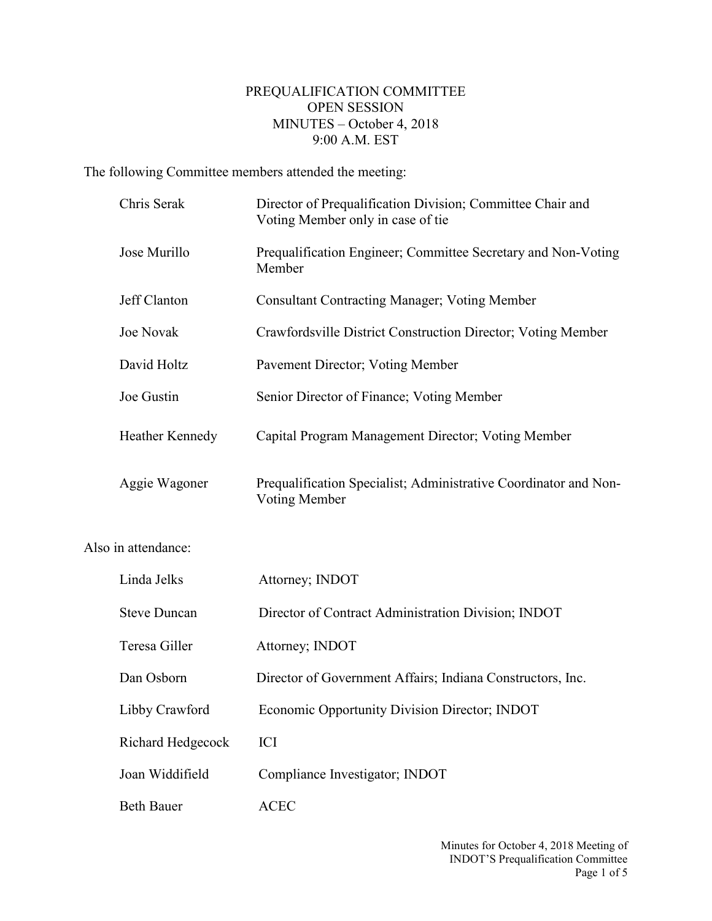## PREQUALIFICATION COMMITTEE OPEN SESSION MINUTES – October 4, 2018 9:00 A.M. EST

The following Committee members attended the meeting:

Also

| Chris Serak         | Director of Prequalification Division; Committee Chair and<br>Voting Member only in case of tie |
|---------------------|-------------------------------------------------------------------------------------------------|
| Jose Murillo        | Prequalification Engineer; Committee Secretary and Non-Voting<br>Member                         |
| Jeff Clanton        | <b>Consultant Contracting Manager; Voting Member</b>                                            |
| Joe Novak           | Crawfordsville District Construction Director; Voting Member                                    |
| David Holtz         | Pavement Director; Voting Member                                                                |
| Joe Gustin          | Senior Director of Finance; Voting Member                                                       |
| Heather Kennedy     | Capital Program Management Director; Voting Member                                              |
| Aggie Wagoner       | Prequalification Specialist; Administrative Coordinator and Non-<br><b>Voting Member</b>        |
| in attendance:      |                                                                                                 |
| Linda Jelks         | Attorney; INDOT                                                                                 |
| <b>Steve Duncan</b> | Director of Contract Administration Division; INDOT                                             |
| Teresa Giller       | Attorney; INDOT                                                                                 |
|                     |                                                                                                 |
| Dan Osborn          | Director of Government Affairs; Indiana Constructors, Inc.                                      |
| Libby Crawford      | Economic Opportunity Division Director; INDOT                                                   |
| Richard Hedgecock   | ICI                                                                                             |
| Joan Widdifield     | Compliance Investigator; INDOT                                                                  |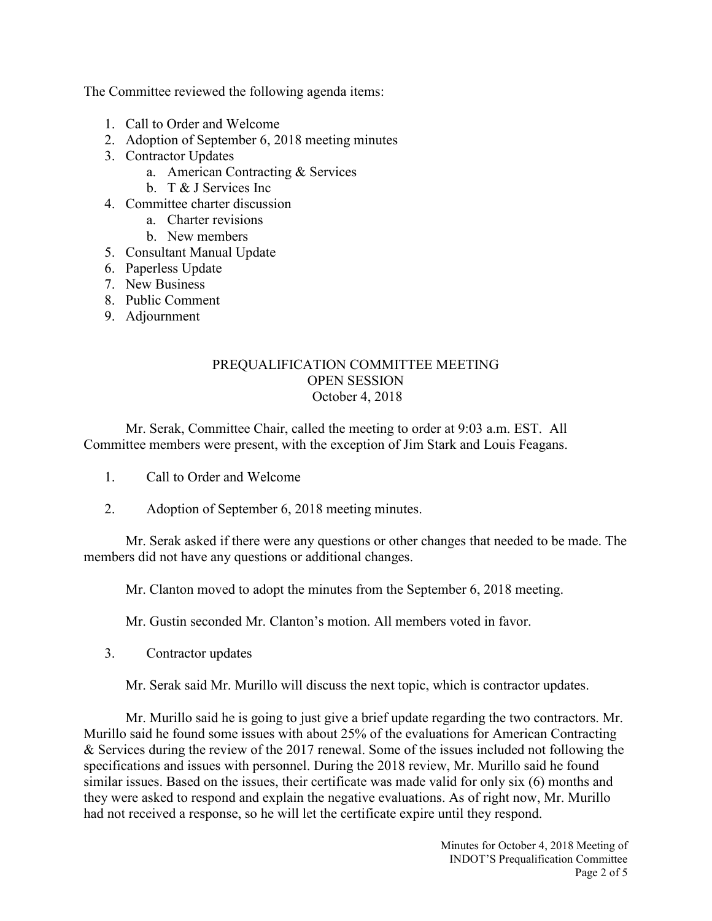The Committee reviewed the following agenda items:

- 1. Call to Order and Welcome
- 2. Adoption of September 6, 2018 meeting minutes
- 3. Contractor Updates
	- a. American Contracting & Services
	- b. T & J Services Inc
- 4. Committee charter discussion
	- a. Charter revisions
	- b. New members
- 5. Consultant Manual Update
- 6. Paperless Update
- 7. New Business
- 8. Public Comment
- 9. Adjournment

## PREQUALIFICATION COMMITTEE MEETING OPEN SESSION October 4, 2018

Mr. Serak, Committee Chair, called the meeting to order at 9:03 a.m. EST. All Committee members were present, with the exception of Jim Stark and Louis Feagans.

- 1. Call to Order and Welcome
- 2. Adoption of September 6, 2018 meeting minutes.

Mr. Serak asked if there were any questions or other changes that needed to be made. The members did not have any questions or additional changes.

Mr. Clanton moved to adopt the minutes from the September 6, 2018 meeting.

Mr. Gustin seconded Mr. Clanton's motion. All members voted in favor.

3. Contractor updates

Mr. Serak said Mr. Murillo will discuss the next topic, which is contractor updates.

Mr. Murillo said he is going to just give a brief update regarding the two contractors. Mr. Murillo said he found some issues with about 25% of the evaluations for American Contracting & Services during the review of the 2017 renewal. Some of the issues included not following the specifications and issues with personnel. During the 2018 review, Mr. Murillo said he found similar issues. Based on the issues, their certificate was made valid for only six (6) months and they were asked to respond and explain the negative evaluations. As of right now, Mr. Murillo had not received a response, so he will let the certificate expire until they respond.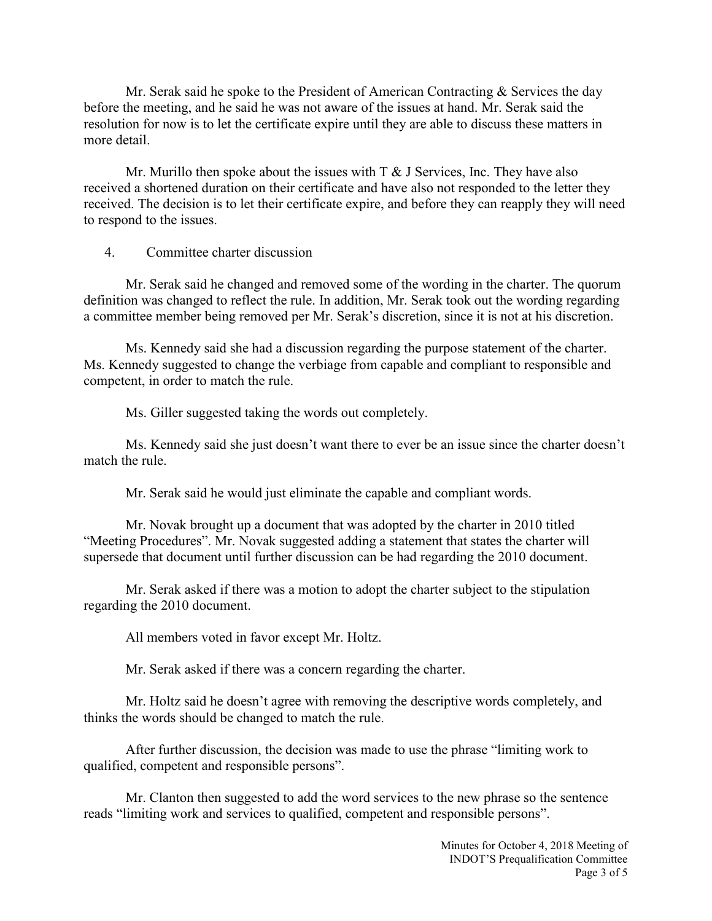Mr. Serak said he spoke to the President of American Contracting  $\&$  Services the day before the meeting, and he said he was not aware of the issues at hand. Mr. Serak said the resolution for now is to let the certificate expire until they are able to discuss these matters in more detail.

Mr. Murillo then spoke about the issues with  $T \& J$  Services, Inc. They have also received a shortened duration on their certificate and have also not responded to the letter they received. The decision is to let their certificate expire, and before they can reapply they will need to respond to the issues.

4. Committee charter discussion

Mr. Serak said he changed and removed some of the wording in the charter. The quorum definition was changed to reflect the rule. In addition, Mr. Serak took out the wording regarding a committee member being removed per Mr. Serak's discretion, since it is not at his discretion.

Ms. Kennedy said she had a discussion regarding the purpose statement of the charter. Ms. Kennedy suggested to change the verbiage from capable and compliant to responsible and competent, in order to match the rule.

Ms. Giller suggested taking the words out completely.

Ms. Kennedy said she just doesn't want there to ever be an issue since the charter doesn't match the rule.

Mr. Serak said he would just eliminate the capable and compliant words.

Mr. Novak brought up a document that was adopted by the charter in 2010 titled "Meeting Procedures". Mr. Novak suggested adding a statement that states the charter will supersede that document until further discussion can be had regarding the 2010 document.

Mr. Serak asked if there was a motion to adopt the charter subject to the stipulation regarding the 2010 document.

All members voted in favor except Mr. Holtz.

Mr. Serak asked if there was a concern regarding the charter.

Mr. Holtz said he doesn't agree with removing the descriptive words completely, and thinks the words should be changed to match the rule.

After further discussion, the decision was made to use the phrase "limiting work to qualified, competent and responsible persons".

Mr. Clanton then suggested to add the word services to the new phrase so the sentence reads "limiting work and services to qualified, competent and responsible persons".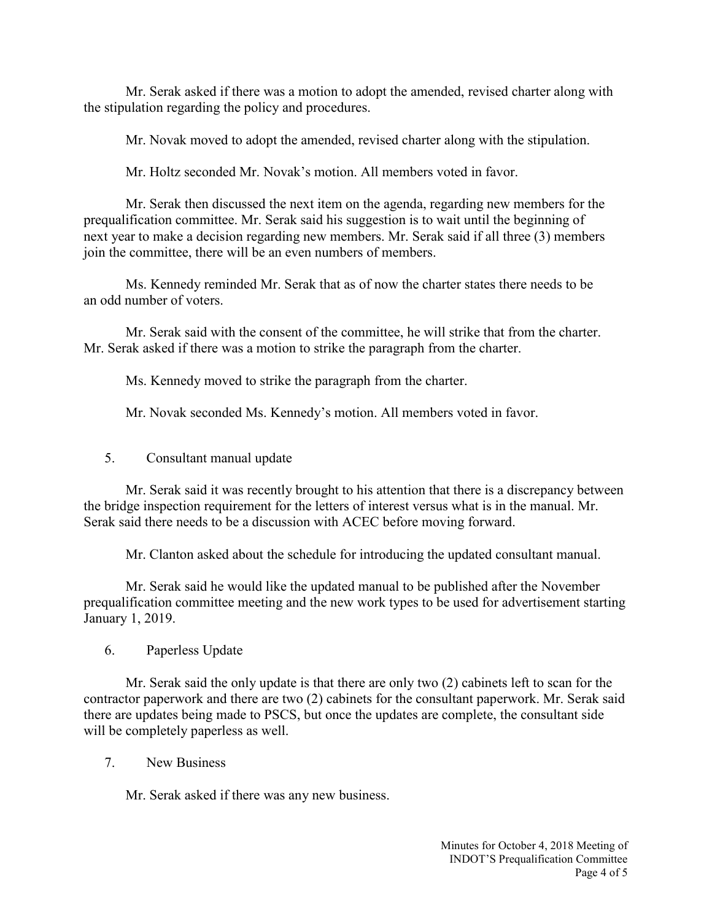Mr. Serak asked if there was a motion to adopt the amended, revised charter along with the stipulation regarding the policy and procedures.

Mr. Novak moved to adopt the amended, revised charter along with the stipulation.

Mr. Holtz seconded Mr. Novak's motion. All members voted in favor.

Mr. Serak then discussed the next item on the agenda, regarding new members for the prequalification committee. Mr. Serak said his suggestion is to wait until the beginning of next year to make a decision regarding new members. Mr. Serak said if all three (3) members join the committee, there will be an even numbers of members.

Ms. Kennedy reminded Mr. Serak that as of now the charter states there needs to be an odd number of voters.

Mr. Serak said with the consent of the committee, he will strike that from the charter. Mr. Serak asked if there was a motion to strike the paragraph from the charter.

Ms. Kennedy moved to strike the paragraph from the charter.

Mr. Novak seconded Ms. Kennedy's motion. All members voted in favor.

5. Consultant manual update

Mr. Serak said it was recently brought to his attention that there is a discrepancy between the bridge inspection requirement for the letters of interest versus what is in the manual. Mr. Serak said there needs to be a discussion with ACEC before moving forward.

Mr. Clanton asked about the schedule for introducing the updated consultant manual.

Mr. Serak said he would like the updated manual to be published after the November prequalification committee meeting and the new work types to be used for advertisement starting January 1, 2019.

6. Paperless Update

Mr. Serak said the only update is that there are only two (2) cabinets left to scan for the contractor paperwork and there are two (2) cabinets for the consultant paperwork. Mr. Serak said there are updates being made to PSCS, but once the updates are complete, the consultant side will be completely paperless as well.

7. New Business

Mr. Serak asked if there was any new business.